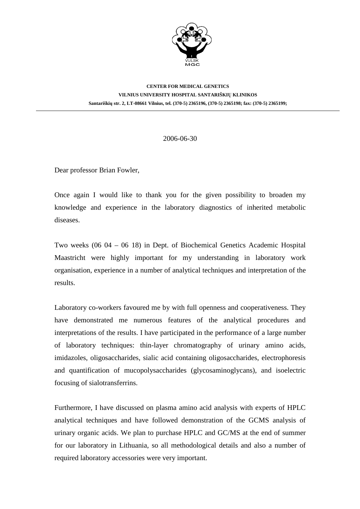

## **CENTER FOR MEDICAL GENETICS VILNIUS UNIVERSITY HOSPITAL SANTARIŠKIŲ KLINIKOS Santariškių str. 2, LT-08661 Vilnius, tel. (370-5) 2365196, (370-5) 2365198; fax: (370-5) 2365199;**

## 2006-06-30

Dear professor Brian Fowler,

Once again I would like to thank you for the given possibility to broaden my knowledge and experience in the laboratory diagnostics of inherited metabolic diseases.

Two weeks (06 04 – 06 18) in Dept. of Biochemical Genetics Academic Hospital Maastricht were highly important for my understanding in laboratory work organisation, experience in a number of analytical techniques and interpretation of the results.

Laboratory co-workers favoured me by with full openness and cooperativeness. They have demonstrated me numerous features of the analytical procedures and interpretations of the results. I have participated in the performance of a large number of laboratory techniques: thin-layer chromatography of urinary amino acids, imidazoles, oligosaccharides, sialic acid containing oligosaccharides, electrophoresis and quantification of mucopolysaccharides (glycosaminoglycans), and isoelectric focusing of sialotransferrins.

Furthermore, I have discussed on plasma amino acid analysis with experts of HPLC analytical techniques and have followed demonstration of the GCMS analysis of urinary organic acids. We plan to purchase HPLC and GC/MS at the end of summer for our laboratory in Lithuania, so all methodological details and also a number of required laboratory accessories were very important.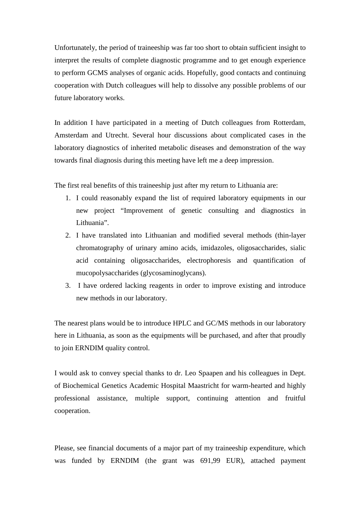Unfortunately, the period of traineeship was far too short to obtain sufficient insight to interpret the results of complete diagnostic programme and to get enough experience to perform GCMS analyses of organic acids. Hopefully, good contacts and continuing cooperation with Dutch colleagues will help to dissolve any possible problems of our future laboratory works.

In addition I have participated in a meeting of Dutch colleagues from Rotterdam, Amsterdam and Utrecht. Several hour discussions about complicated cases in the laboratory diagnostics of inherited metabolic diseases and demonstration of the way towards final diagnosis during this meeting have left me a deep impression.

The first real benefits of this traineeship just after my return to Lithuania are:

- 1. I could reasonably expand the list of required laboratory equipments in our new project "Improvement of genetic consulting and diagnostics in Lithuania".
- 2. I have translated into Lithuanian and modified several methods (thin-layer chromatography of urinary amino acids, imidazoles, oligosaccharides, sialic acid containing oligosaccharides, electrophoresis and quantification of mucopolysaccharides (glycosaminoglycans).
- 3. I have ordered lacking reagents in order to improve existing and introduce new methods in our laboratory.

The nearest plans would be to introduce HPLC and GC/MS methods in our laboratory here in Lithuania, as soon as the equipments will be purchased, and after that proudly to join ERNDIM quality control.

I would ask to convey special thanks to dr. Leo Spaapen and his colleagues in Dept. of Biochemical Genetics Academic Hospital Maastricht for warm-hearted and highly professional assistance, multiple support, continuing attention and fruitful cooperation.

Please, see financial documents of a major part of my traineeship expenditure, which was funded by ERNDIM (the grant was 691,99 EUR), attached payment